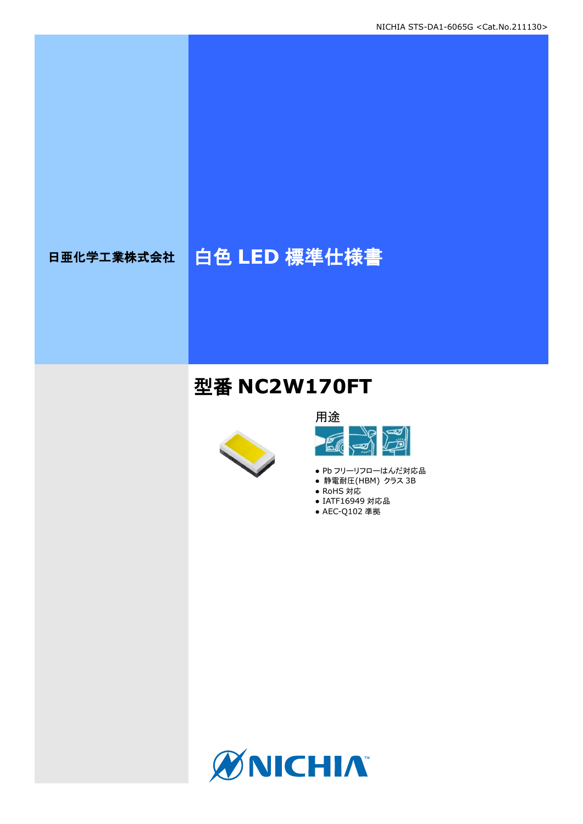# 日亜化学工業株式会社 | 白色 LED 標準仕様書

# 型番 **NC2W170FT**





- Pb フリーリフローはんだ対応品 ● 静電耐圧(HBM) クラス 3B
- 
- RoHS 対応
- IATF16949 対応品 ● AEC-Q102 準拠

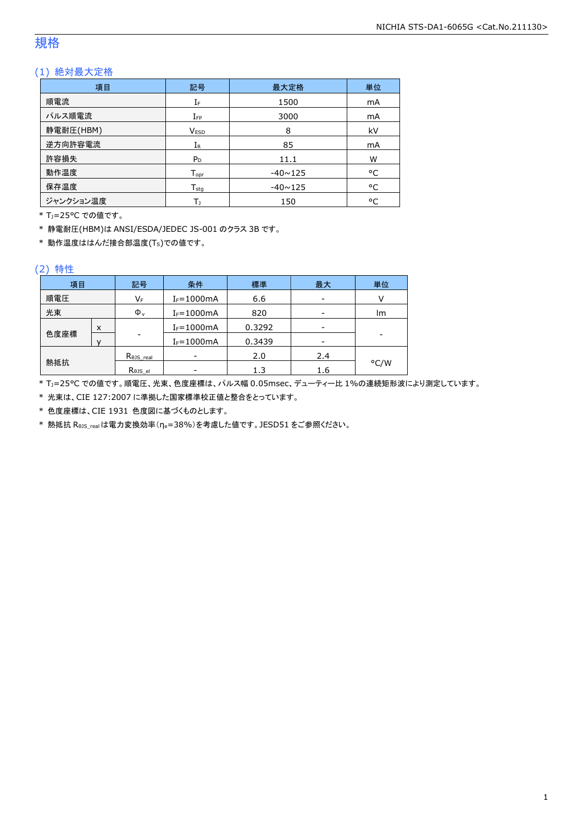### 規格

### (1) 絶対最大定格

| 項目        | 記号                 | 最大定格           | 単位 |
|-----------|--------------------|----------------|----|
| 順電流       | IF                 | 1500           | mA |
| パルス順電流    | $I_{FP}$           | 3000           | mA |
| 静電耐圧(HBM) | <b>VESD</b>        | 8              | kV |
| 逆方向許容電流   | $I_{R}$            | 85             | mA |
| 許容損失      | $P_D$              | 11.1           | W  |
| 動作温度      | $T_{\mathsf{opr}}$ | $-40 \sim 125$ | °C |
| 保存温度      | $T_{sta}$          | $-40 \sim 125$ | °C |
| ジャンクション温度 | Т١                 | 150            | °C |

\* TJ=25°C での値です。

\* 静電耐圧(HBM)は ANSI/ESDA/JEDEC JS-001 のクラス 3B です。

\* 動作温度ははんだ接合部温度(TS)での値です。

#### (2) 特性

| 項目   |   | 条件<br>記号             |                | 標準     | 最大  | 単位   |
|------|---|----------------------|----------------|--------|-----|------|
| 順電圧  |   | VF                   | $I_F = 1000mA$ | 6.6    |     |      |
| 光束   |   | $\Phi_{\rm v}$       | $I_F = 1000mA$ | 820    |     | lm   |
|      | X |                      | $I_F = 1000mA$ | 0.3292 |     |      |
| 色度座標 |   | ۰                    | $I_F = 1000mA$ | 0.3439 |     | -    |
|      |   | $R_{\theta}$ JS_real |                | 2.0    | 2.4 |      |
| 熱抵抗  |   | Rejs el              |                | 1.3    | 1.6 | °C/W |

\* TJ=25°C での値です。順電圧、光束、色度座標は、パルス幅 0.05msec、デューティー比 1%の連続矩形波により測定しています。

\* 光束は、CIE 127:2007 に準拠した国家標準校正値と整合をとっています。

\* 色度座標は、CIE 1931 色度図に基づくものとします。

\* 熱抵抗 RθJS\_realは電力変換効率(ηe=38%)を考慮した値です。JESD51 をご参照ください。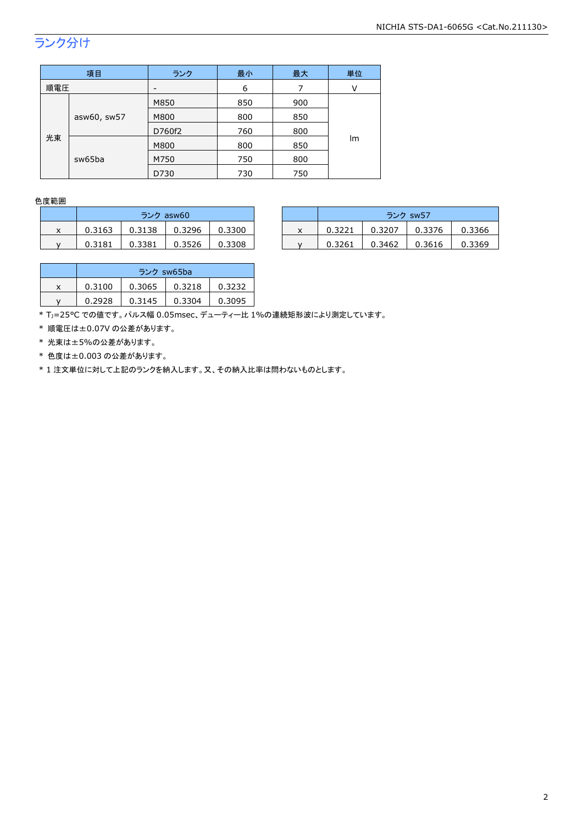## ランク分け

| 項目          |        | ランク  | 最小  | 最大  | 単位 |
|-------------|--------|------|-----|-----|----|
| 順電圧         |        |      | 6   | 7   | ٧  |
|             |        | M850 | 850 | 900 |    |
| asw60, sw57 | M800   | 800  | 850 |     |    |
|             | D760f2 | 760  | 800 |     |    |
| 光束          |        | M800 | 800 | 850 | Im |
|             | sw65ba | M750 | 750 | 800 |    |
|             |        | D730 | 730 | 750 |    |

#### 色度範囲

|   | ランク asw60 |        |        |        |  |  |
|---|-----------|--------|--------|--------|--|--|
| x | 0.3163    | 0.3138 | 0.3296 | 0.3300 |  |  |
|   | 0.3181    | 0.3381 | 0.3526 | 0.3308 |  |  |

|   |        | ランク asw60 |        |        |  | ランク sw57 |        |        |        |
|---|--------|-----------|--------|--------|--|----------|--------|--------|--------|
| x | 0.3163 | 0.3138    | 0.3296 | 0.3300 |  | 0.3221   | 0.3207 | 0.3376 | 0.3366 |
|   | 0.3181 | 0.3381    | 0.3526 | 0.3308 |  | 0.3261   | 0.3462 | 0.3616 | 0.3369 |

|   | ランク sw65ba |        |        |        |  |  |
|---|------------|--------|--------|--------|--|--|
| x | 0.3100     | 0.3065 | 0.3218 | 0.3232 |  |  |
|   | 0.2928     | 0.3145 | 0.3304 | 0.3095 |  |  |

\* TJ=25°C での値です。パルス幅 0.05msec、デューティー比 1%の連続矩形波により測定しています。

\* 順電圧は±0.07V の公差があります。

\* 光束は±5%の公差があります。

\* 色度は±0.003 の公差があります。

\* 1 注文単位に対して上記のランクを納入します。又、その納入比率は問わないものとします。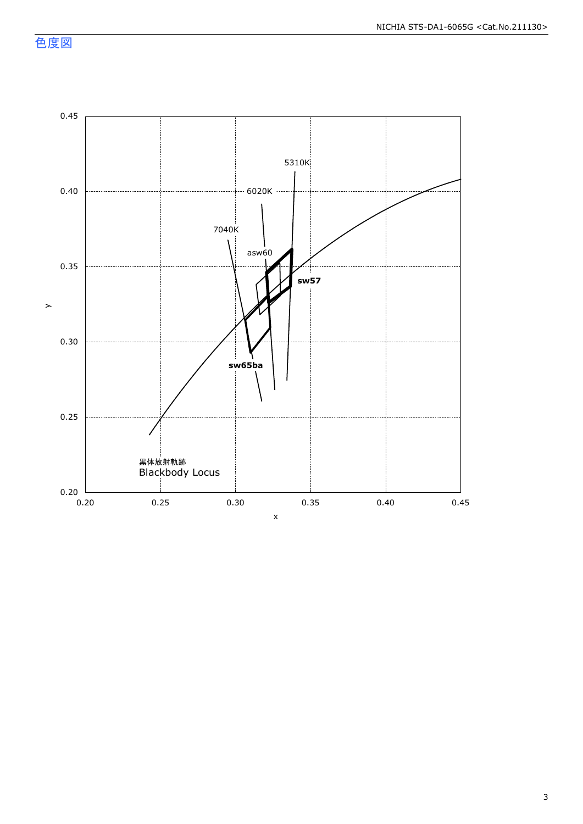色度図

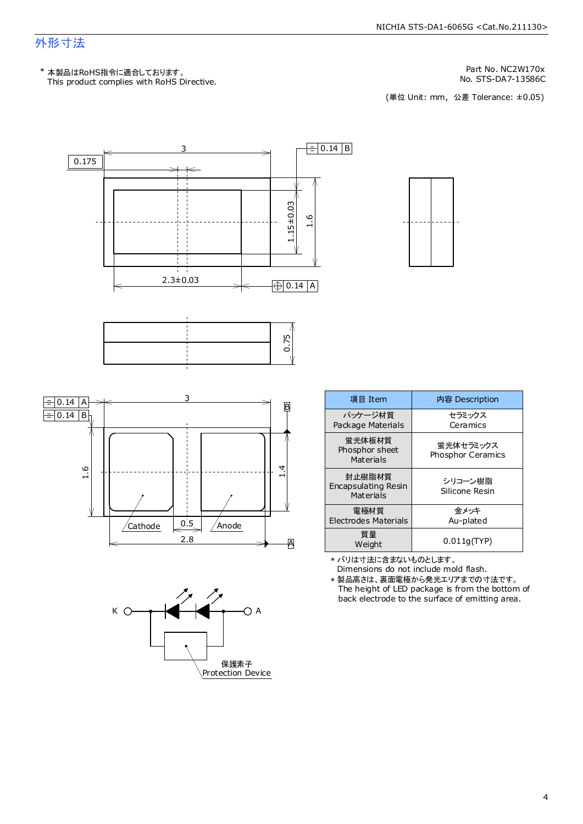### 外形寸法

Part No. NC2W170x

No. STS-DA7-13586C<br>(単位 Unit: mm, 公差 Tolerance: ±0.05)







| 項目 Item                                    | 内容 Description                        |
|--------------------------------------------|---------------------------------------|
| パッケージ材質<br>Package Materials               | セラミックス<br>Ceramics                    |
| 蛍光体板材質<br>Phosphor sheet<br>Materials      | 蛍光体セラミックス<br><b>Phosphor Ceramics</b> |
| 封止樹脂材質<br>Encapsulating Resin<br>Materials | シリコーン樹脂<br>Silicone Resin             |
| 電極材質<br>Electrodes Materials               | 金メッキ<br>Au-plated                     |
| 質量<br>Weight                               | 0.011q(TYP)                           |

\* バリは寸法に含まないものとします。

Dimensions do not include mold flash.

The height of LED package is from the bottom of back electrode to the surface of emitting area. \* 製品高さは、裏面電極から発光エリアまでの寸法です。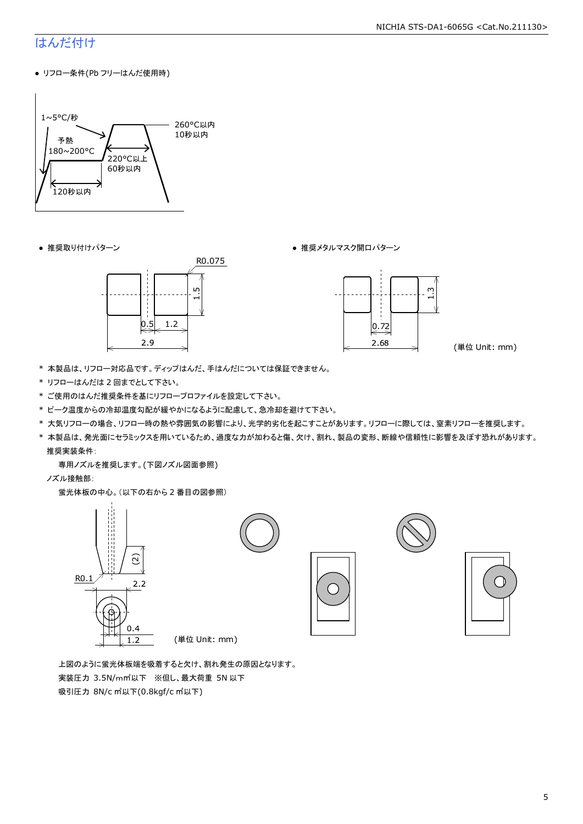### はんだ付け

● リフロー条件(Pb フリーはんだ使用時)



● 推奨取り付けパターン ● 推奨メタルマスク開口パターン





(単位 Unit: mm)

- \* 本製品は、リフロー対応品です。ディップはんだ、手はんだについては保証できません。
- \* リフローはんだは 2 回までとして下さい。
- \* ご使用のはんだ推奨条件を基にリフロープロファイルを設定して下さい。
- \* ピーク温度からの冷却温度勾配が緩やかになるように配慮して、急冷却を避けて下さい。
- \* 大気リフローの場合、リフロー時の熱や雰囲気の影響により、光学的劣化を起こすことがあります。リフローに際しては、窒素リフローを推奨します。
- \* 本製品は、発光面にセラミックスを用いているため、過度な力が加わると傷、欠け、割れ、製品の変形、断線や信頼性に影響を及ぼす恐れがあります。 推奨実装条件:

専用ノズルを推奨します。(下図ノズル図面参照)

ノズル接触部:

蛍光体板の中心。(以下の右から 2 番目の図参照)



 上図のように蛍光体板端を吸着すると欠け、割れ発生の原因となります。 実装圧力 3.5N/m㎡以下 ※但し、最大荷重 5N 以下 吸引圧力 8N/c ㎡以下(0.8kgf/c ㎡以下)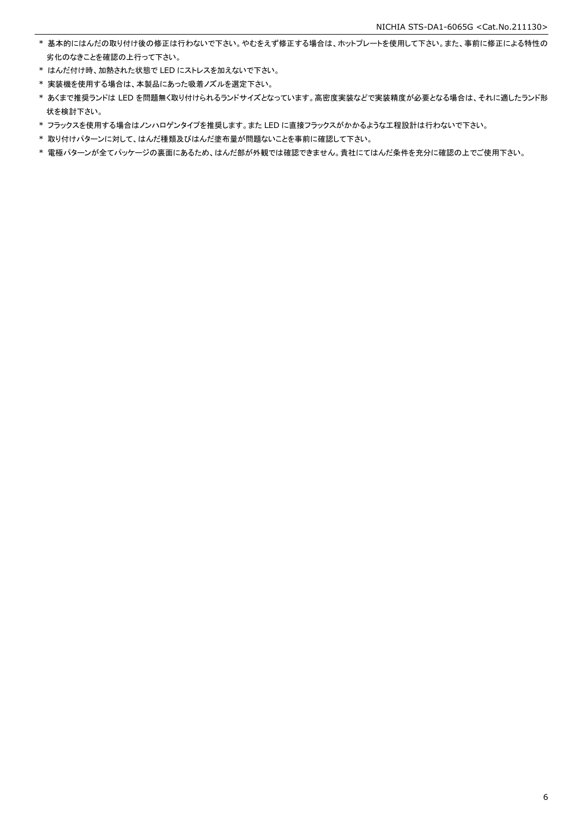- \* 基本的にはんだの取り付け後の修正は行わないで下さい。やむをえず修正する場合は、ホットプレートを使用して下さい。また、事前に修正による特性の 劣化のなきことを確認の上行って下さい。
- \* はんだ付け時、加熱された状態で LED にストレスを加えないで下さい。
- \* 実装機を使用する場合は、本製品にあった吸着ノズルを選定下さい。
- \* あくまで推奨ランドは LED を問題無く取り付けられるランドサイズとなっています。高密度実装などで実装精度が必要となる場合は、それに適したランド形 状を検討下さい。
- \* フラックスを使用する場合はノンハロゲンタイプを推奨します。また LED に直接フラックスがかかるような工程設計は行わないで下さい。
- \* 取り付けパターンに対して、はんだ種類及びはんだ塗布量が問題ないことを事前に確認して下さい。
- \* 電極パターンが全てパッケージの裏面にあるため、はんだ部が外観では確認できません。貴社にてはんだ条件を充分に確認の上でご使用下さい。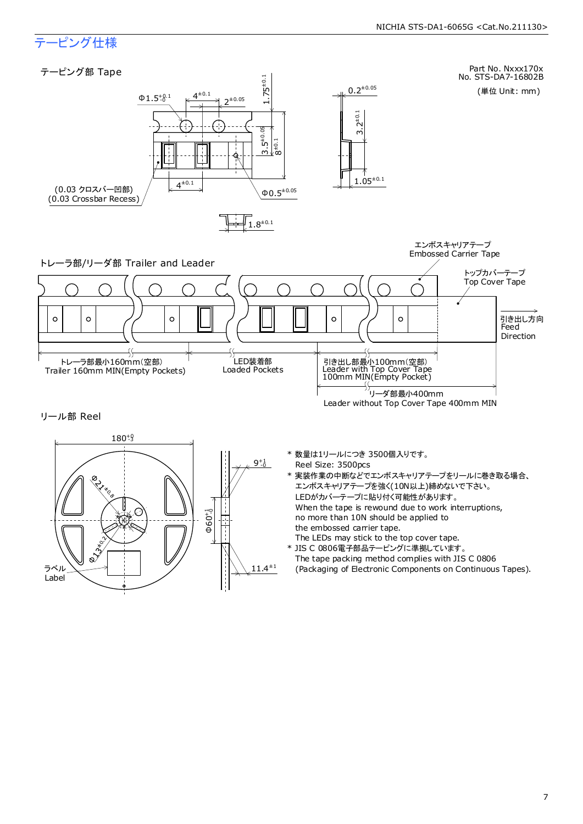### テーピング仕様

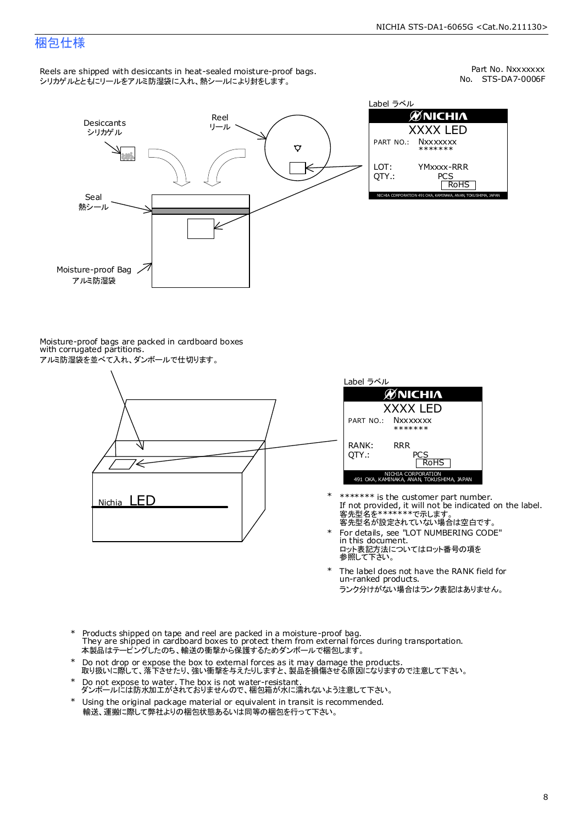### 梱包仕様

Reels are shipped with desiccants in heat-sealed moisture-proof bags. シリカゲルとともにリールをアルミ防湿袋に入れ、熱シールにより封をします。

No. STS-DA7-0006F Part No. Nxxxxxxx



Label ラベル  $\mathscr{D}$ NICHIA XXXX LED PART NO.: **Nxxxxxxx** \*\*\*\*\*\*\* LOT: YMxxxx-RRR QTY.: PCS<br>RoHS INAKA, ANAN, TOKUSHIMA, JA

Moisture-proof bags are packed in cardboard boxes with corrugated partitions. アルミ防湿袋を並べて入れ、ダンボールで仕切ります。





- 客先型名が設定されていない場合は空白です。 客先型名を\*\*\*\*\*\*\*で示します。 If not provided, it will not be indicated on the label. \*\*\*\*\*\*\* is the customer part number.
- For details, see "LOT NUMBERING CODE" in this document. ロット表記方法についてはロット番号の項を<br>参照して下さい。 \*
- The label does not have the RANK field for un-ranked products. ランク分けがない場合はランク表記はありません。 \*
- Products shipped on tape and reel are packed in a moisture-proof bag. They are shipped in cardboard boxes to protect them from external forces during transportation. 本製品はテーピングしたのち、輸送の衝撃から保護するためダンボールで梱包します。 \*
- Do not drop or expose the box to external forces as it may damage the products. 取り扱いに際して、落下させたり、強い衝撃を与えたりしますと、製品を損傷させる原因になりますので注意して下さい。 \*
- Do not expose to water. The box is not water-resistant. ダンボールには防水加工がされておりませんので、梱包箱が水に濡れないよう注意して下さい。 \*
- \* Using the original package material or equivalent in transit is recommended. 輸送、運搬に際して弊社よりの梱包状態あるいは同等の梱包を行って下さい。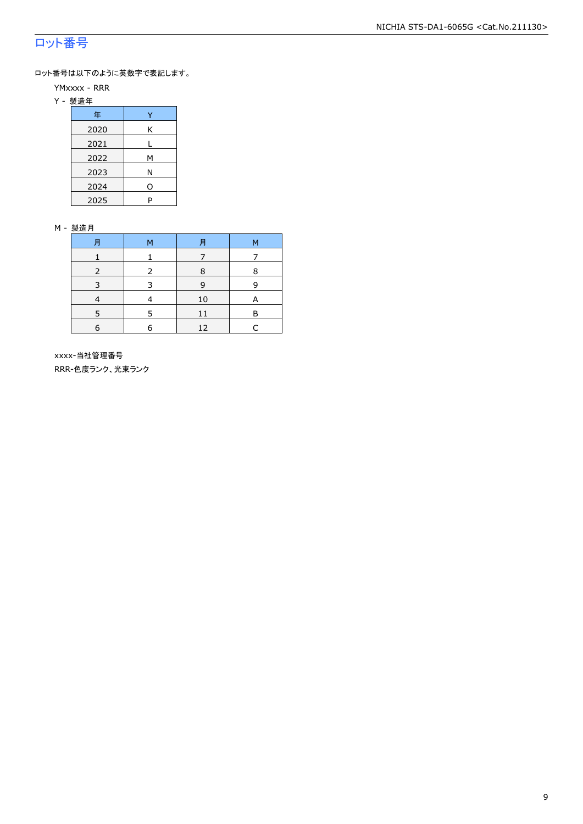### ロット番号

ロット番号は以下のように英数字で表記します。

- YMxxxx RRR
- Y 製造年

| 年    |     |
|------|-----|
| 2020 | Κ   |
| 2021 |     |
| 2022 | М   |
| 2023 | Ν   |
| 2024 | ( ) |
| 2025 | P   |

#### M - 製造月

| F          | M | F  | M |
|------------|---|----|---|
|            |   |    |   |
|            |   | 8  | 8 |
|            |   | q  |   |
|            |   | 10 | А |
|            | 5 | 11 | R |
| $\epsilon$ | 6 | 12 |   |

 xxxx-当社管理番号 RRR-色度ランク、光束ランク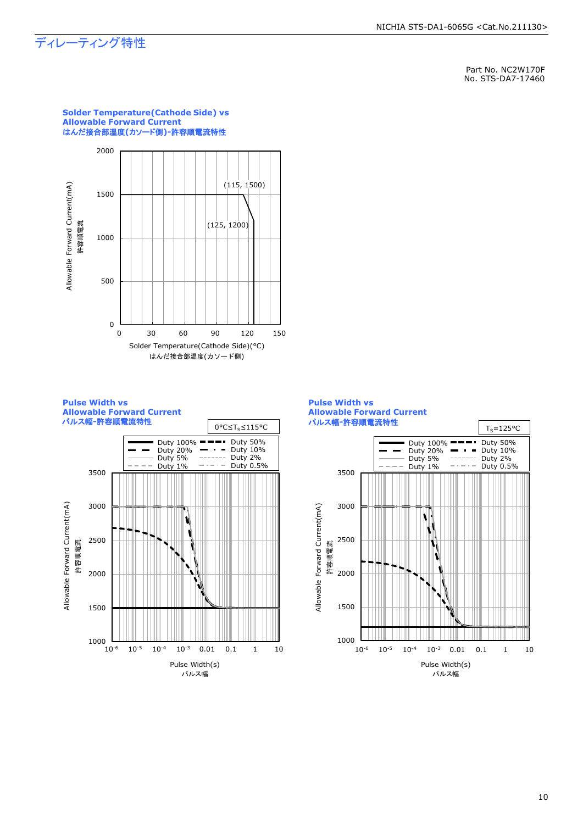### ディレーティング特性

Part No. NC2W170F No. STS-DA7-17460









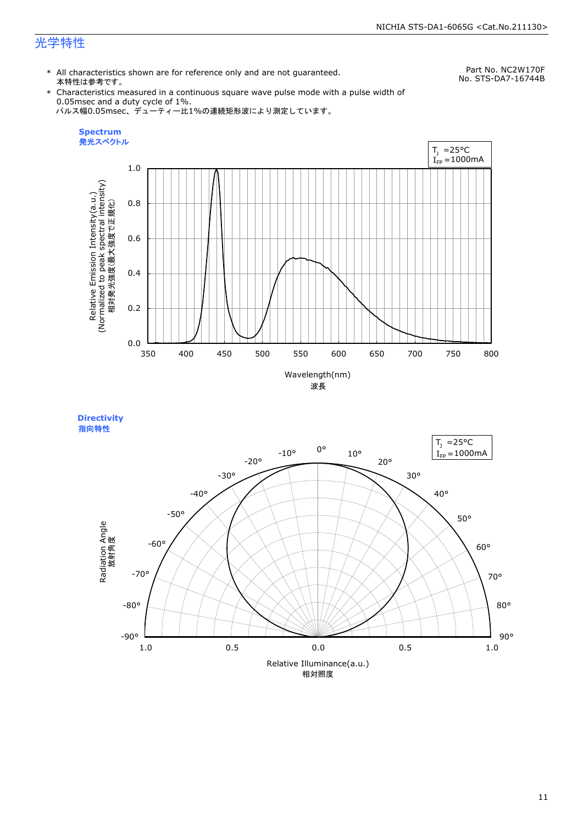### 光学特性

\* All characteristics shown are for reference only and are not guaranteed. 本特性は参考です。

Part No. NC2W170F No. STS-DA7-16744B

\* Characteristics measured in a continuous square wave pulse mode with a pulse width of 0.05msec and a duty cycle of 1%. パルス幅0.05msec、デューティー比1%の連続矩形波により測定しています。





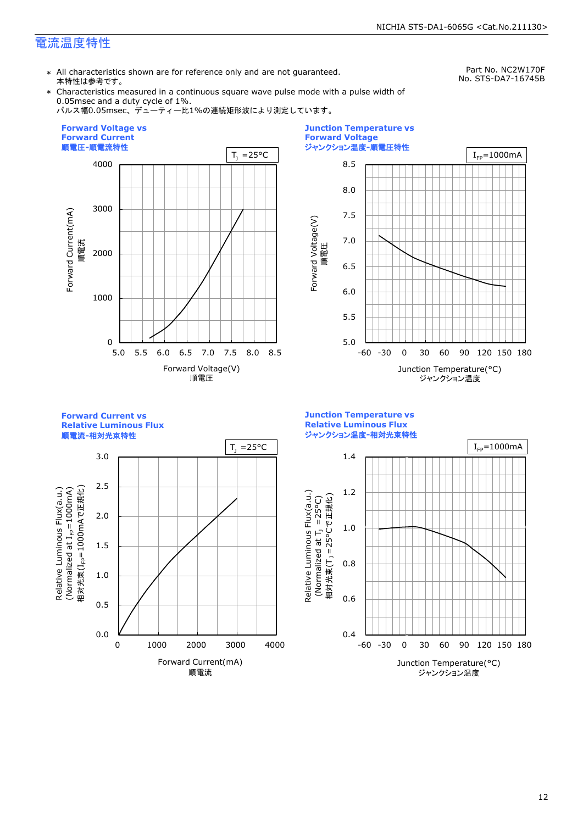### 電流温度特性

\* All characteristics shown are for reference only and are not guaranteed. 本特性は参考です。

Part No. NC2W170F No. STS-DA7-16745B

\* Characteristics measured in a continuous square wave pulse mode with a pulse width of 0.05msec and a duty cycle of 1%.

パルス幅0.05msec、デューティー比1%の連続矩形波により測定しています。





**Forward Current vs Relative Luminous Flux**



3.0 2.5 Relative Luminous Flux(a.u.)<br>(Normalized at I<sub>FP</sub>=1000mA) 相対光束(I<sub>FP</sub>=1000mAで正規化) 相対光束(IFP=1000mAで正規化)  $(100001$  at  $I_{\text{fp}}$  at  $I_{\text{F}}$  because  $\lambda$ Relative Luminous Flux(a.u.) 2.0 1.5 1.0 0.5 0.0 0 1000 2000 3000 4000 Forward Current(mA) 順電流

**Junction Temperature vs Relative Luminous Flux** ジャンクション温度**-**相対光束特性

Relative Luminous Flux(a.u.)

Relative Luminous Flux(a.u.)

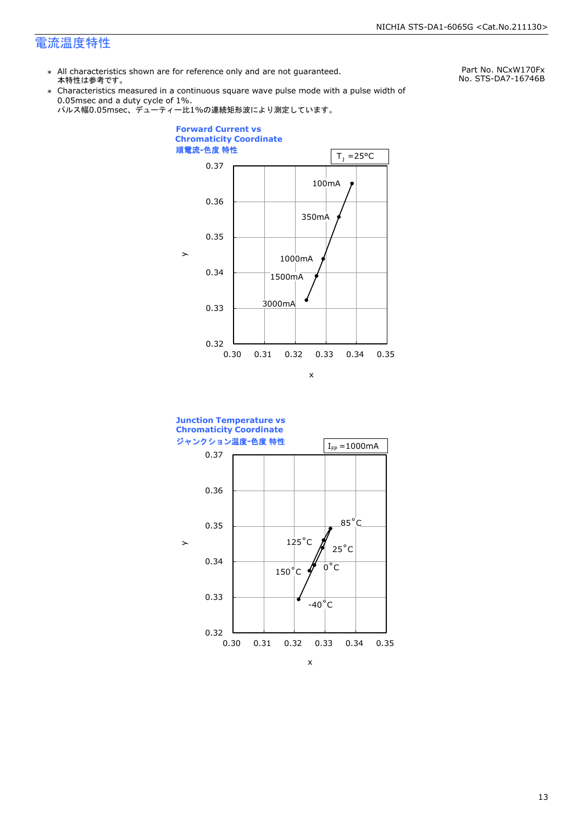### 電流温度特性

\* All characteristics shown are for reference only and are not guaranteed. 本特性は参考です。

Part No. NCxW170Fx No. STS-DA7-16746B

\* Characteristics measured in a continuous square wave pulse mode with a pulse width of 0.05msec and a duty cycle of 1%.





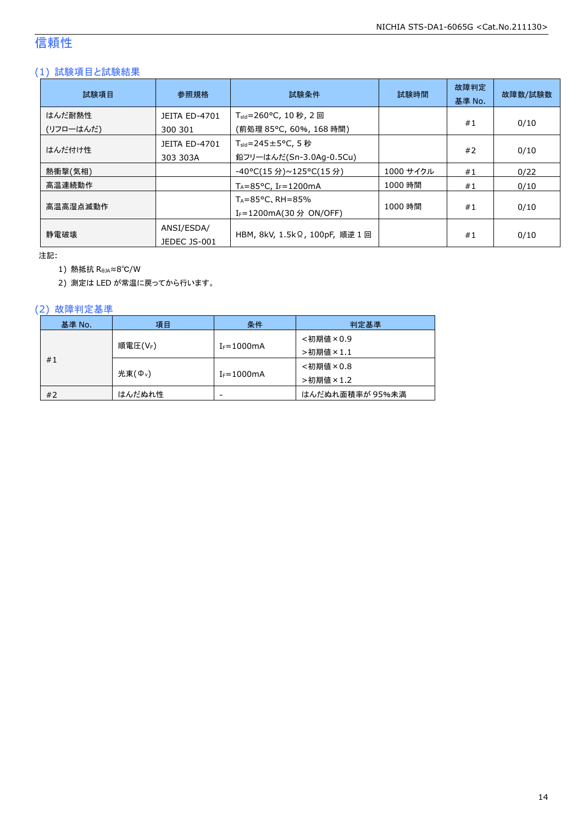### 信頼性

### (1) 試験項目と試験結果

| 試験項目                | 参照規格                            | 試験条件                                                                   | 試験時間      | 故障判定<br>基準 No. | 故障数/試験数 |
|---------------------|---------------------------------|------------------------------------------------------------------------|-----------|----------------|---------|
| はんだ耐熱性<br>(リフローはんだ) | <b>JEITA ED-4701</b><br>300 301 | T <sub>sld</sub> =260°C, 10 秒, 2 回<br>(前処理 85℃, 60%, 168 時間)           |           | #1             | 0/10    |
| はんだ付け性              | JEITA ED-4701<br>303 303A       | $T_{\text{std}} = 245 \pm 5^{\circ}$ C, 5 秒<br>鉛フリーはんだ(Sn-3.0Ag-0.5Cu) |           | #2             | 0/10    |
| 熱衝撃(気相)             |                                 | -40°C(15 分)~125°C(15 分)                                                | 1000 サイクル | #1             | 0/22    |
| 高温連続動作              |                                 | $T_A = 85^{\circ}$ C, I <sub>F</sub> =1200mA                           | 1000 時間   | #1             | 0/10    |
| 高温高湿点滅動作            |                                 | $T_A = 85^{\circ}$ C, RH = 85%<br>I <sub>F</sub> =1200mA(30 分 ON/OFF)  | 1000 時間   | #1             | 0/10    |
| 静雷破壊                | ANSI/ESDA/<br>JEDEC JS-001      | HBM, 8kV, 1.5kΩ, 100pF, 順逆 1 回                                         |           | #1             | 0/10    |

注記:

1) 熱抵抗 RθJA≈8℃/W

2) 測定は LED が常温に戻ってから行います。

### (2) 故障判定基準

| 基準 No. | 項目                  | 条件              | 判定基準            |
|--------|---------------------|-----------------|-----------------|
|        |                     |                 | <初期値×0.9        |
|        | 順電圧(VF)             | $I_F = 1000$ mA | >初期値×1.1        |
| #1     |                     |                 | <初期値×0.8        |
|        | 光束(Φ <sub>ν</sub> ) | $I_F = 1000$ mA | >初期値×1.2        |
| #2     | はんだぬれ性              | -               | はんだぬれ面積率が 95%未満 |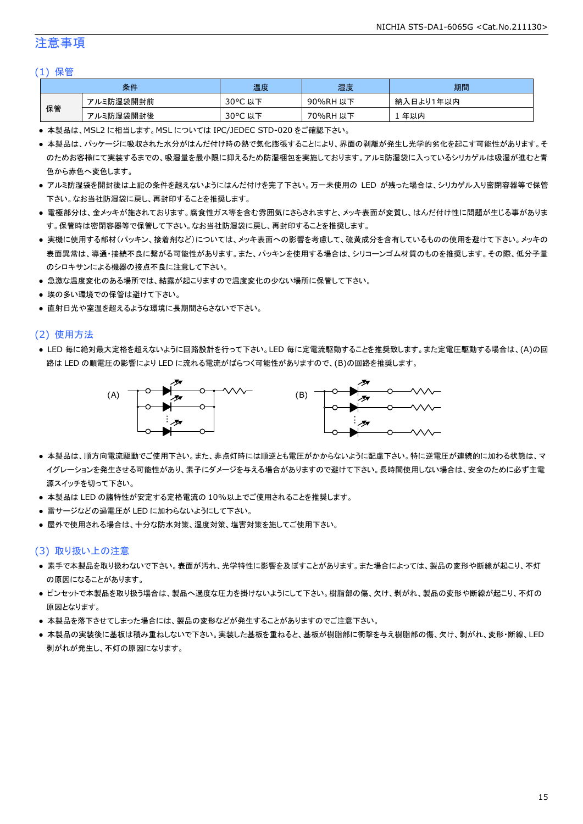### 注意事項

#### (1) 保管

| 条件 |           | 温度                     | 湿度          | 期間              |
|----|-----------|------------------------|-------------|-----------------|
|    | アルミ防湿袋開封前 | $30^{\circ}$ C<br>以下   | 90%RH<br>以下 | ∛入日より1年以内<br>納. |
| 保管 | アルミ防湿袋開封後 | $30^{\circ}$ C<br>. 以下 | 70%RH<br>以下 | 年以内             |

● 本製品は、MSL2 に相当します。MSL については IPC/JEDEC STD-020 をご確認下さい。

- 本製品は、パッケージに吸収された水分がはんだ付け時の熱で気化膨張することにより、界面の剥離が発生し光学的劣化を起こす可能性があります。そ のためお客様にて実装するまでの、吸湿量を最小限に抑えるため防湿梱包を実施しております。アルミ防湿袋に入っているシリカゲルは吸湿が進むと青 色から赤色へ変色します。
- アルミ防湿袋を開封後は上記の条件を越えないようにはんだ付けを完了下さい。万一未使用の LED が残った場合は、シリカゲル入り密閉容器等で保管 下さい。なお当社防湿袋に戻し、再封印することを推奨します。
- 電極部分は、金メッキが施されております。腐食性ガス等を含む雰囲気にさらされますと、メッキ表面が変質し、はんだ付け性に問題が生じる事がありま す。保管時は密閉容器等で保管して下さい。なお当社防湿袋に戻し、再封印することを推奨します。
- 実機に使用する部材(パッキン、接着剤など)については、メッキ表面への影響を考慮して、硫黄成分を含有しているものの使用を避けて下さい。メッキの 表面異常は、導通・接続不良に繋がる可能性があります。また、パッキンを使用する場合は、シリコーンゴム材質のものを推奨します。その際、低分子量 のシロキサンによる機器の接点不良に注意して下さい。
- 急激な温度変化のある場所では、結露が起こりますので温度変化の少ない場所に保管して下さい。
- 埃の多い環境での保管は避けて下さい。
- 直射日光や室温を超えるような環境に長期間さらさないで下さい。

#### (2) 使用方法

● LED 毎に絶対最大定格を超えないように回路設計を行って下さい。LED 毎に定電流駆動することを推奨致します。また定電圧駆動する場合は、(A)の回 路は LED の順電圧の影響により LED に流れる電流がばらつく可能性がありますので、(B)の回路を推奨します。



- 本製品は、順方向電流駆動でご使用下さい。また、非点灯時には順逆とも電圧がかからないように配慮下さい。特に逆電圧が連続的に加わる状態は、マ イグレーションを発生させる可能性があり、素子にダメージを与える場合がありますので避けて下さい。長時間使用しない場合は、安全のために必ず主電 源スイッチを切って下さい。
- 本製品は LED の諸特性が安定する定格電流の 10%以上でご使用されることを推奨します。
- 雷サージなどの過電圧が LED に加わらないようにして下さい。
- 屋外で使用される場合は、十分な防水対策、湿度対策、塩害対策を施してご使用下さい。

#### (3) 取り扱い上の注意

- 素手で本製品を取り扱わないで下さい。表面が汚れ、光学特性に影響を及ぼすことがあります。また場合によっては、製品の変形や断線が起こり、不灯 の原因になることがあります。
- ピンセットで本製品を取り扱う場合は、製品へ過度な圧力を掛けないようにして下さい。樹脂部の傷、欠け、剥がれ、製品の変形や断線が起こり、不灯の 原因となります。
- 本製品を落下させてしまった場合には、製品の変形などが発生することがありますのでご注意下さい。
- 本製品の実装後に基板は積み重ねしないで下さい。実装した基板を重ねると、基板が樹脂部に衝撃を与え樹脂部の傷、欠け、剥がれ、変形・断線、LED 剥がれが発生し、不灯の原因になります。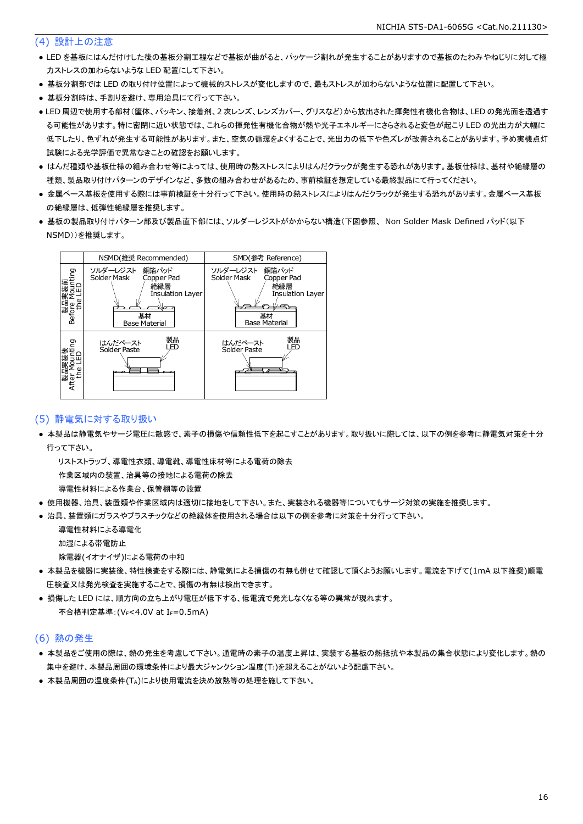#### (4) 設計上の注意

- LED を基板にはんだ付けした後の基板分割工程などで基板が曲がると、パッケージ割れが発生することがありますので基板のたわみやねじりに対して極 力ストレスの加わらないような LED 配置にして下さい。
- 基板分割部では LED の取り付け位置によって機械的ストレスが変化しますので、最もストレスが加わらないような位置に配置して下さい。
- 基板分割時は、手割りを避け、専用治具にて行って下さい。
- LED 周辺で使用する部材(筐体、パッキン、接着剤、2 次レンズ、レンズカバー、グリスなど)から放出された揮発性有機化合物は、LED の発光面を透過す る可能性があります。特に密閉に近い状態では、これらの揮発性有機化合物が熱や光子エネルギーにさらされると変色が起こり LED の光出力が大幅に 低下したり、色ずれが発生する可能性があります。また、空気の循環をよくすることで、光出力の低下や色ズレが改善されることがあります。予め実機点灯 試験による光学評価で異常なきことの確認をお願いします。
- はんだ種類や基板仕様の組み合わせ等によっては、使用時の熱ストレスによりはんだクラックが発生する恐れがあります。基板仕様は、基材や絶縁層の 種類、製品取り付けパターンのデザインなど、多数の組み合わせがあるため、事前検証を想定している最終製品にて行ってください。
- 金属ベース基板を使用する際には事前検証を十分行って下さい。使用時の熱ストレスによりはんだクラックが発生する恐れがあります。金属ベース基板 の絶縁層は、低弾性絶縁層を推奨します。
- 基板の製品取り付けパターン部及び製品直下部には、ソルダーレジストがかからない構造(下図参照、 Non Solder Mask Defined パッド(以下 NSMD))を推奨します。



#### (5) 静電気に対する取り扱い

● 本製品は静電気やサージ電圧に敏感で、素子の損傷や信頼性低下を起こすことがあります。取り扱いに際しては、以下の例を参考に静電気対策を十分 行って下さい。

 リストストラップ、導電性衣類、導電靴、導電性床材等による電荷の除去 作業区域内の装置、治具等の接地による電荷の除去

導電性材料による作業台、保管棚等の設置

- 使用機器、治具、装置類や作業区域内は適切に接地をして下さい。また、実装される機器等についてもサージ対策の実施を推奨します。
- 治具、装置類にガラスやプラスチックなどの絶縁体を使用される場合は以下の例を参考に対策を十分行って下さい。

 導電性材料による導電化 加湿による帯電防止

除電器(イオナイザ)による電荷の中和

- 本製品を機器に実装後、特性検査をする際には、静電気による損傷の有無も併せて確認して頂くようお願いします。電流を下げて(1mA 以下推奨)順電 圧検査又は発光検査を実施することで、損傷の有無は検出できます。
- 損傷した LED には、順方向の立ち上がり電圧が低下する、低電流で発光しなくなる等の異常が現れます。 不合格判定基準: (VF<4.0V at IF=0.5mA)

#### (6) 熱の発生

- 本製品をご使用の際は、熱の発生を考慮して下さい。通電時の素子の温度上昇は、実装する基板の熱抵抗や本製品の集合状態により変化します。熱の 集中を避け、本製品周囲の環境条件により最大ジャンクション温度(TJ)を超えることがないよう配慮下さい。
- 本製品周囲の温度条件(TA)により使用電流を決め放熱等の処理を施して下さい。